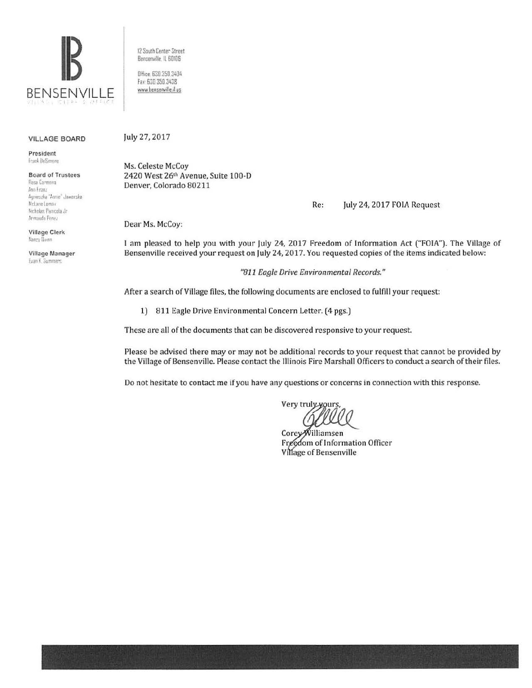

12 South Center Street Bensenville, IL 60105

DHice: 630.350.3404 Fax: 630 350 3438 www.bensenville.il.us

#### **VILLAGE BOARD**

President Frank DeSimone

**Board of Trustees** Rasa Carmona Ana Franz Agnieszka "Annie" Jawarska McLase Lomax Nicholas Panicola Jr

Armando Perez **Village Clerk** Nancy Burns

Village Manager Evan K. Summers

July 27, 2017

Ms. Celeste McCoy 2420 West 26th Avenue, Suite 100-D Denver, Colorado 80211

> Re: July 24, 2017 FOIA Request

Dear Ms. McCoy:

I am pleased to help you with your July 24, 2017 Freedom of Information Act ("FOIA"). The Village of Bensenville received your request on July 24, 2017. You requested copies of the items indicated below:

"811 Eagle Drive Environmental Records."

After a search of Village files, the following documents are enclosed to fulfill your request:

1) 811 Eagle Drive Environmental Concern Letter. (4 pgs.)

These are all of the documents that can be discovered responsive to your request.

Please be advised there may or may not be additional records to your request that cannot be provided by the Village of Bensenville. Please contact the Illinois Fire Marshall Officers to conduct a search of their files.

Do not hesitate to contact me if you have any questions or concerns in connection with this response.

Very truly yours

CoreyWilliamsen Freedom of Information Officer Village of Bensenville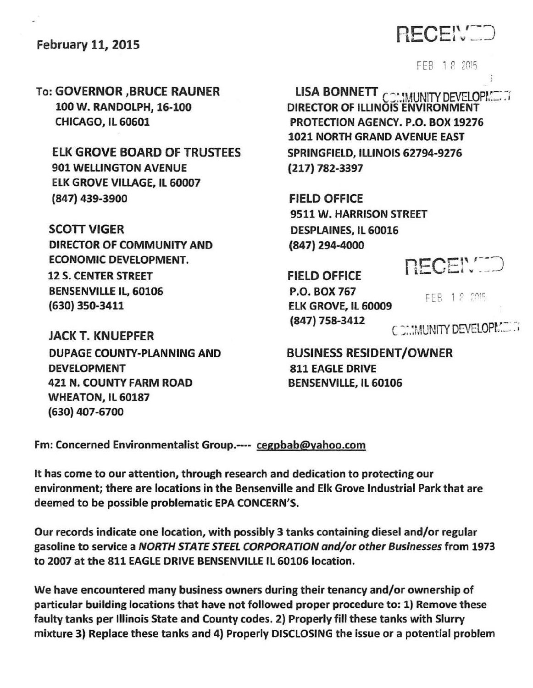### February 11, 2015

# RECENTE

FEB 1 *P* <sup>2015</sup>

To: GOVERNOR ,BRUCE RAUNER 100 W. RANDOLPH, 16-100 CHICAGO, IL 60601

ELK GROVE BOARD OF TRUSTEES 901 WELLINGTON AVENUE ELK GROVE VILLAGE, IL 60007 (847) 439-3900

SCOTT VIGER DIRECTOR OF COMMUNITY AND ECONOMIC DEVELOPMENT. 12 S. CENTER STREET BENSENVILLE IL, 60106 (630} 350-3411

JACK T. KNUEPFER DUPAGE COUNTY-PLANNING AND DEVELOPMENT 421 N. COUNTY FARM ROAD WHEATON, IL 60187 {630) 407-6700

LISA BONNETT **COMMUNITY DEVELOPMENT** DIRECTOR OF ILLINOIS ENVIRONMENT PROTECTION AGENCY. P.O. BOX 19276 1021 NORTH GRAND AVENUE EAST SPRINGFIELD, ILLINOIS 62794-9276 (217) 782-3397

FIELD OFFICE 9511 W. HARRISON STREET DESPLAINES, IL 60016 (847) 294-4000

FIELD OFFICE P.O. BOX 767 ELK GROVE, IL 60009  $(847)$  758-3412 C  $\sim$  MUNITY DEVELOPMENTS

**NECENCE** 

FEB 1 8 2015

BUSINESS RESIDENT /OWNER 811 EAGLE DRIVE BENSENVILLE, IL 60106

Fm: Concerned Environmentalist Group.---- cegpbab@yahoo.com

It has come to our attention, through research and dedication to protecting our environment; there are locations in the Bensenville and Elk Grove Industrial Park that are deemed to be possible problematic EPA CONCERN'S.

Our records indicate one location, with possibly 3 tanks containing diesel and/or regular gasoline to service a NORTH STATE STEEL CORPORATION and/or other Businesses from 1973 to 2007 at the 811 EAGLE DRIVE BENSENVILLE IL 60106 location.

We have encountered many business owners during their tenancy and/or ownership of particular building locations that have not followed proper procedure to: 1) Remove these faulty tanks per Illinois State and County codes. 2) Properly fill these tanks with Slurry mixture 3} Replace these tanks and 4) Properly DISCLOSING the issue or a potential problem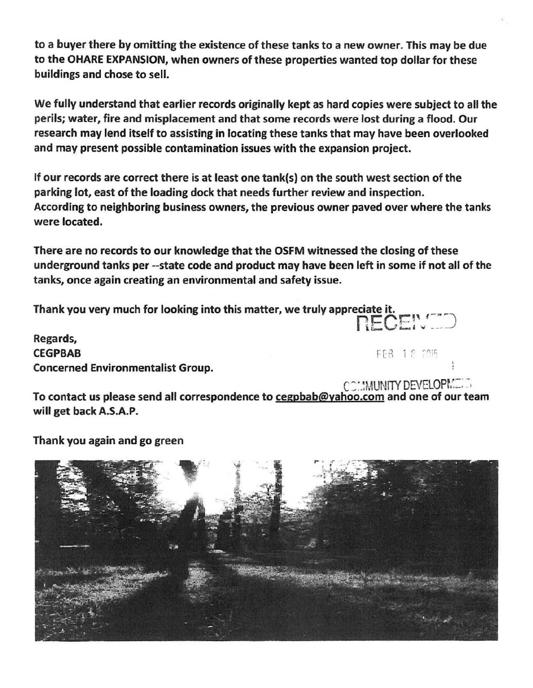to a buyer there by omitting the existence of these tanks to a new owner. This may be due to the OHARE EXPANSION, when owners of these properties wanted top dollar for these buildings and chose to sell.

We fully understand that earlier records originally kept as hard copies were subject to all the perils; water, fire and misplacement and that some records were lost during a flood. Our research may lend itself to assisting in locating these tanks that may have been overlooked and may present possible contamination issues with the expansion project.

If our records are correct there is at least one tank(s) on the south west section of the parking lot, east of the loading dock that needs further review and inspection. According to neighboring business owners, the previous owner paved over where the tanks were located.

There are no records to our knowledge that the OSFM witnessed the closing of these underground tanks per --state code and product may have been left in some if not all of the tanks, once again creating an environmental and safety issue.

Thank you very much for looking into this matter, we truly appreciate it. **1ECEI:** (<a)

Regards,  $CEGPBAB$  FEB 1.2  $7015$ Concerned Environmentalist Group.

To contact us please send all correspondence to cegpbab@yahoo.com and one of our team will get back A.S.A.P.

Thank you again and go green

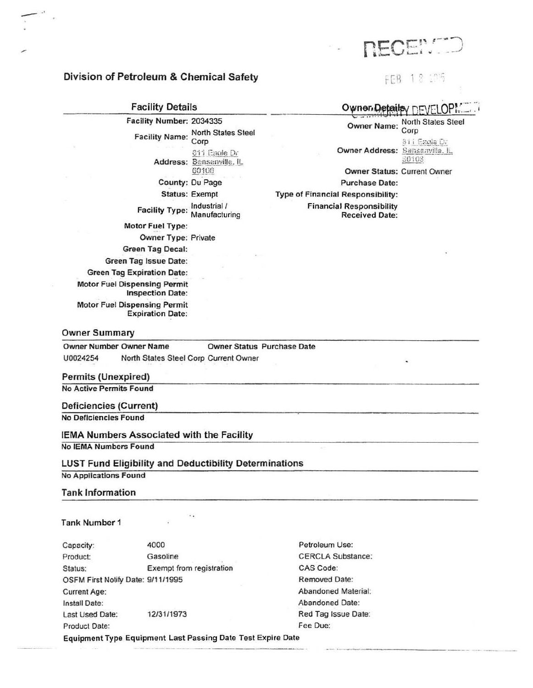- ' '

#### Division of Petroleum & Chemical Safety

Facility Details Facility Number: 2034335 Facility Name: North States Steel Corp S11 Eagle Dr Address: Bensenville, IL<br>60106 County: Du Page Status: Exempt Facility Type: Inquisition / Motor Fuel Type: Owner Type: Private Green Tag Decal: Green Tag Issue Date: Green Tag Expiration Date: Motor Fuel Dispensing Permit Inspection Date: Motor Fuel Dispensing Permit Expiration Date:

Owner Details / DEVELOP!

Owner Name: North States Steel Corp  $81$ i Ezgle Dr

**Owner Address: Sansanville. IL.** 30'IO'i

Owner Status: Current Owner

Purchase Date: Type of Financial Responsibility: Financial Responsibility Received Date:

#### Owner Summary

 $\frac{1}{\sqrt{2}}$ 

Owner Number Owner Name Owner Status Purchase Date U0024254 North States Steel Corp Current Owner

#### Permits (Unexpired}

No Active Permits Found

#### Deficiencies (Current)

No Deficiencies Found

#### IEMA Numbers Associated with the Facility

No IEMA Numbers Found

#### LUST Fund Eligibility and Deductibility Determinations

No Applications Found

#### Tank Information

#### Tank Number 1

Capacity: 4000 4000 Petroleum Use: Product: Gasoline CERCLA Substance: Status: Exempt from registration CAS Code: OSFM First Notify Date: 9/11/1995 Removed Date: Current Age: Abandoned Material: Install Date: **Abandoned Date:** Abandoned Date: Last Used Date: 12/31/1973 Red Tag Issue Date: Product Date: Fee Due:

Equipment Type Equipment Last Passing Date Test Expire Date ·----~ ---- -----·----